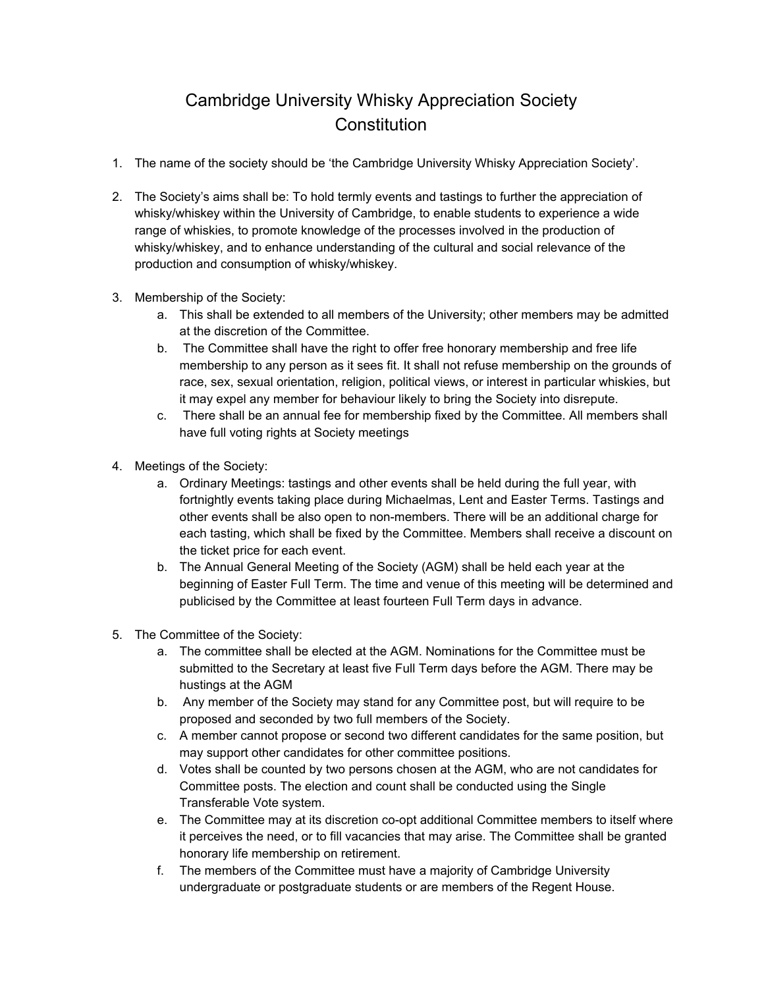## Cambridge University Whisky Appreciation Society **Constitution**

- 1. The name of the society should be 'the Cambridge University Whisky Appreciation Society'.
- 2. The Society's aims shall be: To hold termly events and tastings to further the appreciation of whisky/whiskey within the University of Cambridge, to enable students to experience a wide range of whiskies, to promote knowledge of the processes involved in the production of whisky/whiskey, and to enhance understanding of the cultural and social relevance of the production and consumption of whisky/whiskey.
- 3. Membership of the Society:
	- a. This shall be extended to all members of the University; other members may be admitted at the discretion of the Committee.
	- b. The Committee shall have the right to offer free honorary membership and free life membership to any person as it sees fit. It shall not refuse membership on the grounds of race, sex, sexual orientation, religion, political views, or interest in particular whiskies, but it may expel any member for behaviour likely to bring the Society into disrepute.
	- c. There shall be an annual fee for membership fixed by the Committee. All members shall have full voting rights at Society meetings
- 4. Meetings of the Society:
	- a. Ordinary Meetings: tastings and other events shall be held during the full year, with fortnightly events taking place during Michaelmas, Lent and Easter Terms. Tastings and other events shall be also open to non-members. There will be an additional charge for each tasting, which shall be fixed by the Committee. Members shall receive a discount on the ticket price for each event.
	- b. The Annual General Meeting of the Society (AGM) shall be held each year at the beginning of Easter Full Term. The time and venue of this meeting will be determined and publicised by the Committee at least fourteen Full Term days in advance.
- 5. The Committee of the Society:
	- a. The committee shall be elected at the AGM. Nominations for the Committee must be submitted to the Secretary at least five Full Term days before the AGM. There may be hustings at the AGM
	- b. Any member of the Society may stand for any Committee post, but will require to be proposed and seconded by two full members of the Society.
	- c. A member cannot propose or second two different candidates for the same position, but may support other candidates for other committee positions.
	- d. Votes shall be counted by two persons chosen at the AGM, who are not candidates for Committee posts. The election and count shall be conducted using the Single Transferable Vote system.
	- e. The Committee may at its discretion co-opt additional Committee members to itself where it perceives the need, or to fill vacancies that may arise. The Committee shall be granted honorary life membership on retirement.
	- f. The members of the Committee must have a majority of Cambridge University undergraduate or postgraduate students or are members of the Regent House.